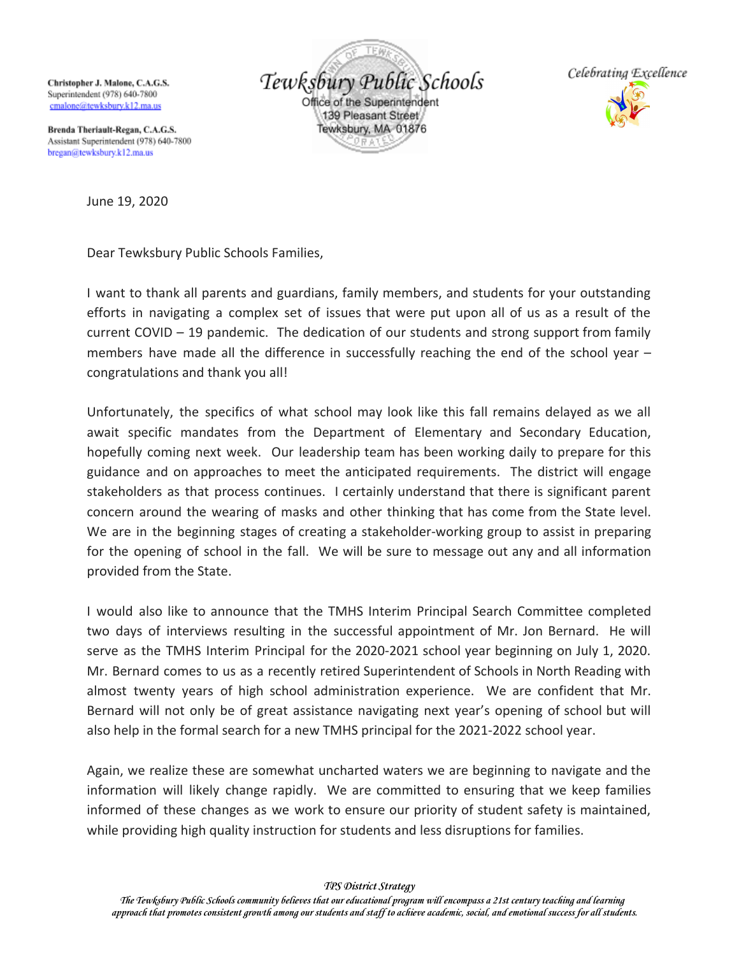Christopher J. Malone, C.A.G.S. Superintendent (978) 640-7800 cmalone@tewksburv.k12.ma.us

Tewksbury Public Schools Office of the Superintendent 139 Pleasant Street Tewksbury, MA 01876



Brenda Theriault-Regan, C.A.G.S. Assistant Superintendent (978) 640-7800 bregan@tewksbury.k12.ma.us

June 19, 2020

Dear Tewksbury Public Schools Families,

I want to thank all parents and guardians, family members, and students for your outstanding efforts in navigating a complex set of issues that were put upon all of us as a result of the current COVID – 19 pandemic. The dedication of our students and strong support from family members have made all the difference in successfully reaching the end of the school year – congratulations and thank you all!

Unfortunately, the specifics of what school may look like this fall remains delayed as we all await specific mandates from the Department of Elementary and Secondary Education, hopefully coming next week. Our leadership team has been working daily to prepare for this guidance and on approaches to meet the anticipated requirements. The district will engage stakeholders as that process continues. I certainly understand that there is significant parent concern around the wearing of masks and other thinking that has come from the State level. We are in the beginning stages of creating a stakeholder-working group to assist in preparing for the opening of school in the fall. We will be sure to message out any and all information provided from the State.

I would also like to announce that the TMHS Interim Principal Search Committee completed two days of interviews resulting in the successful appointment of Mr. Jon Bernard. He will serve as the TMHS Interim Principal for the 2020-2021 school year beginning on July 1, 2020. Mr. Bernard comes to us as a recently retired Superintendent of Schools in North Reading with almost twenty years of high school administration experience. We are confident that Mr. Bernard will not only be of great assistance navigating next year's opening of school but will also help in the formal search for a new TMHS principal for the 2021-2022 school year.

Again, we realize these are somewhat uncharted waters we are beginning to navigate and the information will likely change rapidly. We are committed to ensuring that we keep families informed of these changes as we work to ensure our priority of student safety is maintained, while providing high quality instruction for students and less disruptions for families.

*TPS District Strategy*